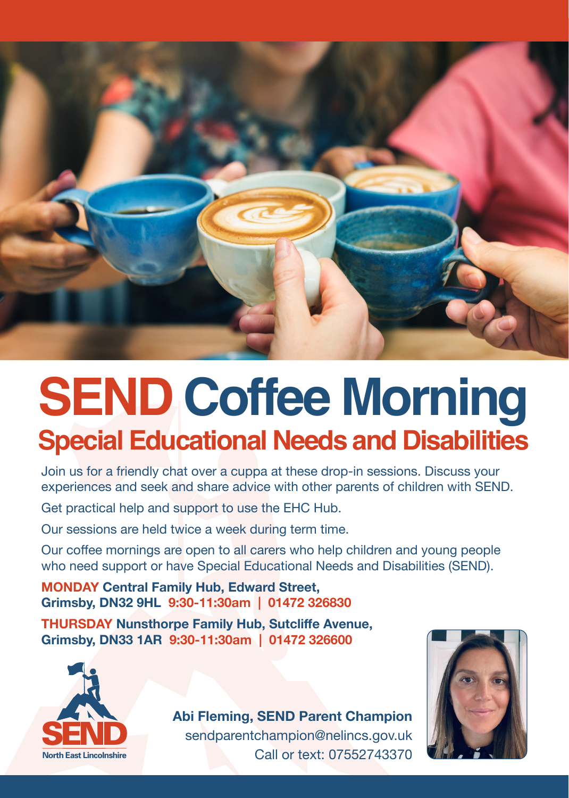

# **SEND Coffee Morning Special Educational Needs and Disabilities**

Join us for a friendly chat over a cuppa at these drop-in sessions. Discuss your experiences and seek and share advice with other parents of children with SEND.

Get practical help and support to use the EHC Hub.

Our sessions are held twice a week during term time.

Our coffee mornings are open to all carers who help children and young people who need support or have Special Educational Needs and Disabilities (SEND).

**MONDAY Central Family Hub, Edward Street, Grimsby, DN32 9HL 9:30-11:30am | [01472 326830](https://www.google.co.uk/search?q=central+family+hub+grimsby+edward+street&sxsrf=AOaemvJU_wDG_KHOzNMxaCeG9x9yyoE2qA%3A1629971295880&ei=X2MnYbGcNYnFgQbpvIWICw&oq=central+family+hub+grimsby+edward+street&gs_lcp=Cgdnd3Mtd2l6EAMyBwghEAoQoAE6BggAEBYQHjoICCEQFhAdEB46BQghEKABSgQIQRgAUIZFWNtRYL1SaABwAngAgAGSAYgBsQySAQQwLjEzmAEAoAEBwAEB&sclient=gws-wiz&ved=0ahUKEwjxx9agtM7yAhWJYsAKHWleAbEQ4dUDCA8&uact=5)**

**THURSDAY Nunsthorpe Family Hub, Sutcliffe Avenue, Grimsby, DN33 1AR 9:30-11:30am | [01472 326600](https://www.google.co.uk/search?q=nunsthorpe+family+hub+grimsby&sxsrf=AOaemvK1AOIP-AZ6WgGbhoo_s7fTE6K9MQ%3A1629971307783&ei=a2MnYbGCL_LC8gLks4y4DA&oq=nunsthorpe+family+hub+grimsby&gs_lcp=Cgdnd3Mtd2l6EAMyDgguEIAEEMcBEK8BEJMCOgQIIRAKSgQIQRgAUIy3CVjf2glg190JaABwAngAgAGQAYgBwRGSAQQxLjE4mAEAoAEBwAEB&sclient=gws-wiz&ved=0ahUKEwjx46ymtM7yAhVyoVwKHeQZA8cQ4dUDCA8&uact=5)**



**Abi Fleming, SEND Parent Champion**

[sendparentchampion@nelincs.gov.uk](mailto:SENDparentchampion@nelincs.gov.uk) Call or text: 07552743370